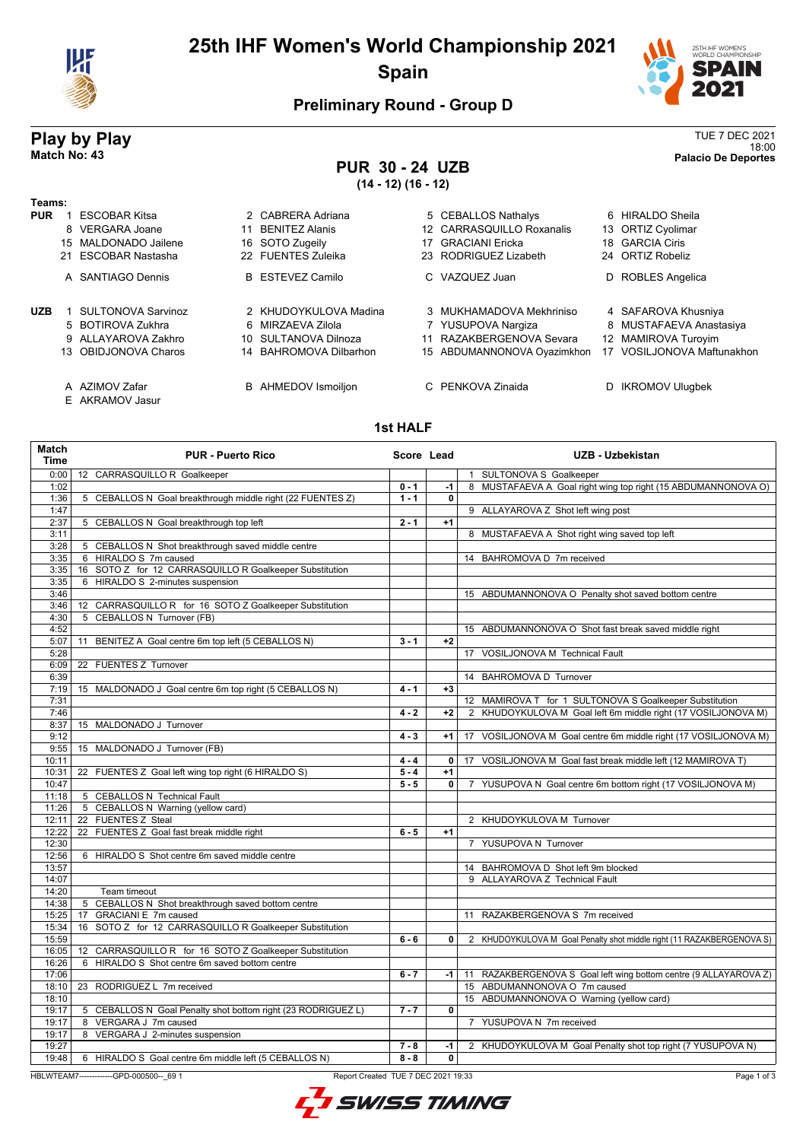

# **25th IHF Women's World Championship 2021 Spain**



## **Preliminary Round - Group D**

### **Play by Play** TUE 7 DEC 2021 18:00 **Match No: 43 Palacio De Deportes**

# **PUR 30 - 24 UZB**

**(14 - 12) (16 - 12)**

| Teams:     |                           |    |                            |                             |   |                         |
|------------|---------------------------|----|----------------------------|-----------------------------|---|-------------------------|
| <b>PUR</b> | <b>ESCOBAR Kitsa</b>      |    | 2 CABRERA Adriana          | 5 CEBALLOS Nathalys         |   | 6 HIRALDO Sheila        |
|            | 8 VERGARA Joane           | 11 | <b>BENITEZ Alanis</b>      | 12 CARRASQUILLO Roxanalis   |   | 13 ORTIZ Cyolimar       |
|            | 15 MALDONADO Jailene      |    | 16 SOTO Zugeily            | 17 GRACIANI Ericka          |   | 18 GARCIA Ciris         |
|            | 21 ESCOBAR Nastasha       |    | 22 FUENTES Zuleika         | 23 RODRIGUEZ Lizabeth       |   | 24 ORTIZ Robeliz        |
|            | A SANTIAGO Dennis         |    | <b>B</b> ESTEVEZ Camilo    | C VAZQUEZ Juan              | D | ROBLES Angelica         |
| <b>UZB</b> | <b>SULTONOVA Sarvinoz</b> |    | 2 KHUDOYKULOVA Madina      | 3 MUKHAMADOVA Mekhriniso    |   | 4 SAFAROVA Khusniya     |
|            | 5 BOTIROVA Zukhra         |    | 6 MIRZAEVA Zilola          | 7 YUSUPOVA Nargiza          |   | 8 MUSTAFAEVA Anastasiya |
|            | 9 ALLAYAROVA Zakhro       |    | 10 SULTANOVA Dilnoza       | 11 RAZAKBERGENOVA Sevara    |   | 12 MAMIROVA Turoyim     |
|            | 13 OBIDJONOVA Charos      |    | 14 BAHROMOVA Dilbarhon     | 15 ABDUMANNONOVA Oyazimkhon |   | VOSILJONOVA Maftunakhon |
|            | A AZIMOV Zafar            |    | <b>B</b> AHMEDOV Ismoiljon | C PENKOVA Zinaida           |   | <b>IKROMOV Ulugbek</b>  |

- 
- E AKRAMOV Jasur

#### **1st HALF**

| <b>Match</b><br>Time | <b>PUR - Puerto Rico</b>                                     | Score Lead |              | <b>UZB - Uzbekistan</b>                                                  |
|----------------------|--------------------------------------------------------------|------------|--------------|--------------------------------------------------------------------------|
| 0:00                 | 12 CARRASQUILLO R Goalkeeper                                 |            |              | 1 SULTONOVA S Goalkeeper                                                 |
| 1:02                 |                                                              | $0 - 1$    | $-1$         | 8 MUSTAFAEVA A Goal right wing top right (15 ABDUMANNONOVA O)            |
| 1:36                 | 5 CEBALLOS N Goal breakthrough middle right (22 FUENTES Z)   | $1 - 1$    | $\mathbf 0$  |                                                                          |
| 1:47                 |                                                              |            |              | 9 ALLAYAROVA Z Shot left wing post                                       |
| 2:37                 | 5 CEBALLOS N Goal breakthrough top left                      | $2 - 1$    | $+1$         |                                                                          |
| 3:11                 |                                                              |            |              | 8 MUSTAFAEVA A Shot right wing saved top left                            |
| 3:28                 | 5 CEBALLOS N Shot breakthrough saved middle centre           |            |              |                                                                          |
| 3:35                 | 6 HIRALDO S 7m caused                                        |            |              | 14 BAHROMOVA D 7m received                                               |
| 3:35                 | 16 SOTO Z for 12 CARRASQUILLO R Goalkeeper Substitution      |            |              |                                                                          |
| 3:35                 | 6 HIRALDO S 2-minutes suspension                             |            |              |                                                                          |
| 3:46                 |                                                              |            |              | 15 ABDUMANNONOVA O Penalty shot saved bottom centre                      |
| 3:46                 | 12 CARRASQUILLO R for 16 SOTO Z Goalkeeper Substitution      |            |              |                                                                          |
| 4:30                 | <b>CEBALLOS N Turnover (FB)</b><br>5                         |            |              |                                                                          |
| 4:52                 |                                                              |            |              | 15 ABDUMANNONOVA O Shot fast break saved middle right                    |
| 5:07                 | BENITEZ A Goal centre 6m top left (5 CEBALLOS N)<br>11       | $3 - 1$    | $+2$         |                                                                          |
| 5:28                 |                                                              |            |              | 17 VOSILJONOVA M Technical Fault                                         |
| 6:09                 | 22 FUENTES Z Turnover                                        |            |              |                                                                          |
| 6:39                 |                                                              |            |              | 14 BAHROMOVA D Turnover                                                  |
| 7:19                 | 15 MALDONADO J Goal centre 6m top right (5 CEBALLOS N)       | $4 - 1$    | $+3$         |                                                                          |
| 7:31                 |                                                              |            |              | 12 MAMIROVA T for 1 SULTONOVA S Goalkeeper Substitution                  |
| 7:46                 |                                                              | $4 - 2$    | $+2$         | 2 KHUDOYKULOVA M Goal left 6m middle right (17 VOSILJONOVA M)            |
| 8:37                 | 15 MALDONADO J Turnover                                      |            |              |                                                                          |
| 9:12                 |                                                              | $4 - 3$    | $+1$         | 17 VOSILJONOVA M Goal centre 6m middle right (17 VOSILJONOVA M)          |
| 9:55                 | 15 MALDONADO J Turnover (FB)                                 |            |              |                                                                          |
| 10:11                |                                                              | $4 - 4$    | $\mathbf{0}$ | 17 VOSILJONOVA M Goal fast break middle left (12 MAMIROVA T)             |
| 10:31                | 22 FUENTES Z Goal left wing top right (6 HIRALDO S)          | $5 - 4$    | $+1$         |                                                                          |
| 10:47                |                                                              | $5 - 5$    | $\mathbf{0}$ | YUSUPOVA N Goal centre 6m bottom right (17 VOSILJONOVA M)<br>$7^{\circ}$ |
| 11:18                | 5 CEBALLOS N Technical Fault                                 |            |              |                                                                          |
| 11:26                | 5 CEBALLOS N Warning (yellow card)                           |            |              |                                                                          |
| 12:11                | 22 FUENTES Z Steal                                           |            |              | 2 KHUDOYKULOVA M Turnover                                                |
| 12:22                | 22 FUENTES Z Goal fast break middle right                    | $6 - 5$    | $+1$         |                                                                          |
| 12:30                |                                                              |            |              | 7 YUSUPOVA N Turnover                                                    |
| 12:56                | 6 HIRALDO S Shot centre 6m saved middle centre               |            |              |                                                                          |
| 13:57                |                                                              |            |              | 14 BAHROMOVA D Shot left 9m blocked                                      |
| 14:07                |                                                              |            |              | 9 ALLAYAROVA Z Technical Fault                                           |
| 14:20                | Team timeout                                                 |            |              |                                                                          |
| 14:38                | 5 CEBALLOS N Shot breakthrough saved bottom centre           |            |              |                                                                          |
| 15:25                | <b>GRACIANI E 7m caused</b><br>17                            |            |              | 11 RAZAKBERGENOVA S 7m received                                          |
| 15:34                | SOTO Z for 12 CARRASQUILLO R Goalkeeper Substitution<br>16   |            |              |                                                                          |
| 15:59                |                                                              | $6 - 6$    | $\mathbf{0}$ | 2 KHUDOYKULOVA M Goal Penalty shot middle right (11 RAZAKBERGENOVA S)    |
| 16:05                | 12 CARRASQUILLO R for 16 SOTO Z Goalkeeper Substitution      |            |              |                                                                          |
| 16:26                | 6 HIRALDO S Shot centre 6m saved bottom centre               |            |              |                                                                          |
| 17:06                |                                                              | $6 - 7$    | $-1$         | 11 RAZAKBERGENOVA S Goal left wing bottom centre (9 ALLAYAROVA Z)        |
| 18:10                | 23 RODRIGUEZ L 7m received                                   |            |              | 15 ABDUMANNONOVA O 7m caused                                             |
| 18:10                |                                                              |            |              | 15 ABDUMANNONOVA O Warning (yellow card)                                 |
| 19:17                | 5 CEBALLOS N Goal Penalty shot bottom right (23 RODRIGUEZ L) | $7 - 7$    | 0            |                                                                          |
| 19:17                | 8 VERGARA J 7m caused                                        |            |              | 7 YUSUPOVA N 7m received                                                 |
| 19:17                | 8 VERGARA J 2-minutes suspension                             |            |              |                                                                          |
| 19:27                |                                                              | $7 - 8$    | $-1$         | 2 KHUDOYKULOVA M Goal Penalty shot top right (7 YUSUPOVA N)              |
| 19:48                | 6 HIRALDO S Goal centre 6m middle left (5 CEBALLOS N)        | $8 - 8$    | 0            |                                                                          |

HBLWTEAM7-------------GPD-000500--\_69 1 Report Created TUE 7 DEC 2021 19:33

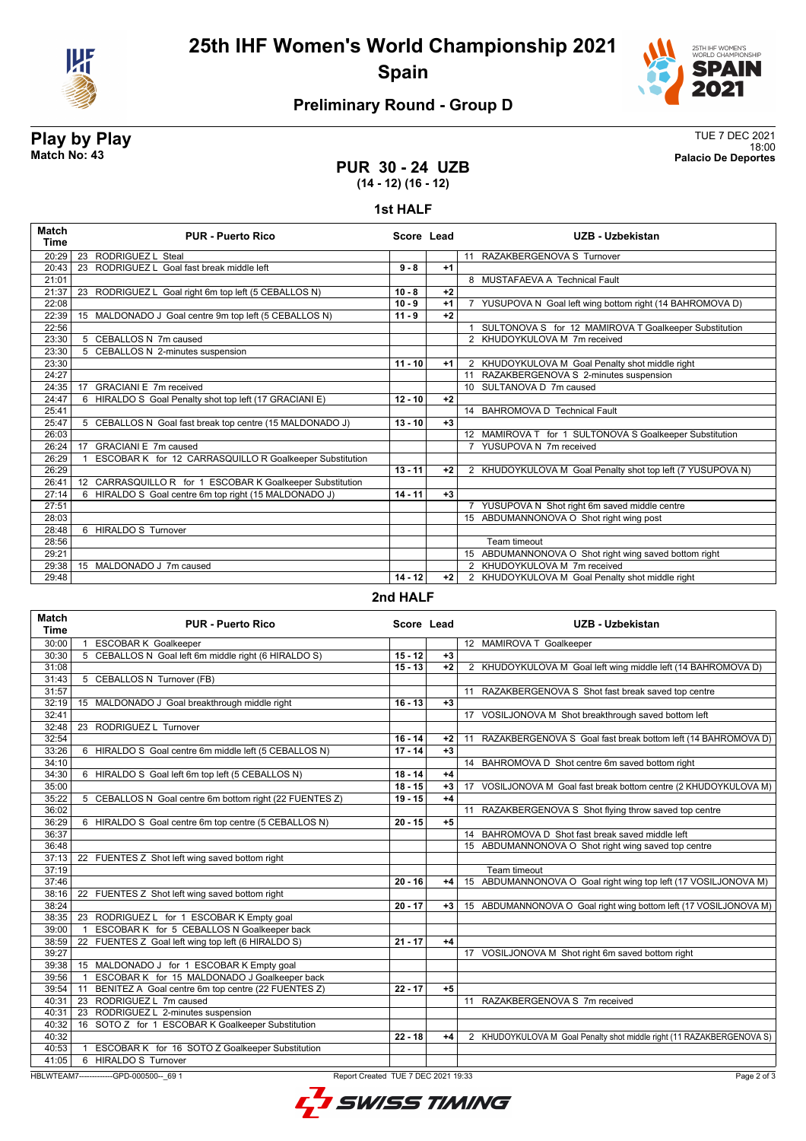

**25th IHF Women's World Championship 2021 Spain**



# **Preliminary Round - Group D**

**Play by Play** TUE 7 DEC 2021 18:00 **Match No: 43 Palacio De Deportes**

### **PUR 30 - 24 UZB (14 - 12) (16 - 12)**

#### **1st HALF**

| <b>Match</b><br>Time | <b>PUR - Puerto Rico</b>                                  | Score Lead |      | UZB - Uzbekistan                                           |
|----------------------|-----------------------------------------------------------|------------|------|------------------------------------------------------------|
| 20:29                | 23 RODRIGUEZ L Steal                                      |            |      | 11 RAZAKBERGENOVA S Turnover                               |
| 20:43                | RODRIGUEZ L Goal fast break middle left<br>23             | $9 - 8$    | $+1$ |                                                            |
| 21:01                |                                                           |            |      | 8 MUSTAFAEVA A Technical Fault                             |
| 21:37                | 23 RODRIGUEZ L Goal right 6m top left (5 CEBALLOS N)      | $10 - 8$   | $+2$ |                                                            |
| 22:08                |                                                           | $10 - 9$   | $+1$ | 7 YUSUPOVA N Goal left wing bottom right (14 BAHROMOVA D)  |
| 22:39                | 15 MALDONADO J Goal centre 9m top left (5 CEBALLOS N)     | $11 - 9$   | $+2$ |                                                            |
| 22:56                |                                                           |            |      | SULTONOVA S for 12 MAMIROVA T Goalkeeper Substitution      |
| 23:30                | 5 CEBALLOS N 7m caused                                    |            |      | 2 KHUDOYKULOVA M 7m received                               |
| 23:30                | 5 CEBALLOS N 2-minutes suspension                         |            |      |                                                            |
| 23:30                |                                                           | $11 - 10$  | $+1$ | 2 KHUDOYKULOVA M Goal Penalty shot middle right            |
| 24:27                |                                                           |            |      | 11 RAZAKBERGENOVA S 2-minutes suspension                   |
| 24:35                | <b>GRACIANI E 7m received</b><br>17                       |            |      | 10 SULTANOVA D 7m caused                                   |
| 24:47                | 6 HIRALDO S Goal Penalty shot top left (17 GRACIANI E)    | $12 - 10$  | $+2$ |                                                            |
| 25:41                |                                                           |            |      | 14 BAHROMOVA D Technical Fault                             |
| 25:47                | 5 CEBALLOS N Goal fast break top centre (15 MALDONADO J)  | $13 - 10$  | $+3$ |                                                            |
| 26:03                |                                                           |            |      | 12 MAMIROVA T for 1 SULTONOVA S Goalkeeper Substitution    |
| 26:24                | GRACIANI E 7m caused<br>17                                |            |      | 7 YUSUPOVA N 7m received                                   |
| 26:29                | ESCOBAR K for 12 CARRASQUILLO R Goalkeeper Substitution   |            |      |                                                            |
| 26:29                |                                                           | $13 - 11$  | $+2$ | 2 KHUDOYKULOVA M Goal Penalty shot top left (7 YUSUPOVA N) |
| 26:41                | 12 CARRASQUILLO R for 1 ESCOBAR K Goalkeeper Substitution |            |      |                                                            |
| 27:14                | 6 HIRALDO S Goal centre 6m top right (15 MALDONADO J)     | $14 - 11$  | $+3$ |                                                            |
| 27:51                |                                                           |            |      | 7 YUSUPOVA N Shot right 6m saved middle centre             |
| 28:03                |                                                           |            |      | 15 ABDUMANNONOVA O Shot right wing post                    |
| 28:48                | 6 HIRALDO S Turnover                                      |            |      |                                                            |
| 28:56                |                                                           |            |      | Team timeout                                               |
| 29:21                |                                                           |            |      | 15 ABDUMANNONOVA O Shot right wing saved bottom right      |
| 29:38                | 15 MALDONADO J 7m caused                                  |            |      | 2 KHUDOYKULOVA M 7m received                               |
| 29:48                |                                                           | $14 - 12$  | $+2$ | 2 KHUDOYKULOVA M Goal Penalty shot middle right            |
|                      |                                                           | - ------   |      |                                                            |

#### **2nd HALF**

| <b>Match</b><br><b>Time</b>                                                                    | <b>PUR - Puerto Rico</b>                                        |           | Score Lead | <b>UZB - Uzbekistan</b>                                               |  |
|------------------------------------------------------------------------------------------------|-----------------------------------------------------------------|-----------|------------|-----------------------------------------------------------------------|--|
| 30:00                                                                                          | <b>ESCOBAR K Goalkeeper</b><br>$\mathbf{1}$                     |           |            | 12 MAMIROVA T Goalkeeper                                              |  |
| 30:30                                                                                          | 5 CEBALLOS N Goal left 6m middle right (6 HIRALDO S)            | $15 - 12$ | $+3$       |                                                                       |  |
| 31:08                                                                                          |                                                                 | $15 - 13$ | $+2$       | 2 KHUDOYKULOVA M Goal left wing middle left (14 BAHROMOVA D)          |  |
| 31:43                                                                                          | 5 CEBALLOS N Turnover (FB)                                      |           |            |                                                                       |  |
| 31:57                                                                                          |                                                                 |           |            | 11 RAZAKBERGENOVA S Shot fast break saved top centre                  |  |
| 32:19                                                                                          | 15 MALDONADO J Goal breakthrough middle right                   | $16 - 13$ | $+3$       |                                                                       |  |
| 32:41                                                                                          |                                                                 |           |            | 17 VOSILJONOVA M Shot breakthrough saved bottom left                  |  |
| 32:48                                                                                          | 23 RODRIGUEZ L Turnover                                         |           |            |                                                                       |  |
| 32:54                                                                                          |                                                                 | $16 - 14$ | $+2$       | 11 RAZAKBERGENOVA S Goal fast break bottom left (14 BAHROMOVA D)      |  |
| 33:26                                                                                          | 6 HIRALDO S Goal centre 6m middle left (5 CEBALLOS N)           | $17 - 14$ | $+3$       |                                                                       |  |
| 34:10                                                                                          |                                                                 |           |            | 14 BAHROMOVA D Shot centre 6m saved bottom right                      |  |
| 34:30                                                                                          | 6 HIRALDO S Goal left 6m top left (5 CEBALLOS N)                | $18 - 14$ | $+4$       |                                                                       |  |
| 35:00                                                                                          |                                                                 | $18 - 15$ | $+3$       | VOSILJONOVA M Goal fast break bottom centre (2 KHUDOYKULOVA M)<br>17  |  |
| 35:22                                                                                          | 5 CEBALLOS N Goal centre 6m bottom right (22 FUENTES Z)         | $19 - 15$ | $+4$       |                                                                       |  |
| 36:02                                                                                          |                                                                 |           |            | 11 RAZAKBERGENOVA S Shot flying throw saved top centre                |  |
| 36:29                                                                                          | 6 HIRALDO S Goal centre 6m top centre (5 CEBALLOS N)            | $20 - 15$ | $+5$       |                                                                       |  |
| 36:37                                                                                          |                                                                 |           |            | 14 BAHROMOVA D Shot fast break saved middle left                      |  |
| 36:48                                                                                          |                                                                 |           |            | 15 ABDUMANNONOVA O Shot right wing saved top centre                   |  |
| 37:13                                                                                          | 22 FUENTES Z Shot left wing saved bottom right                  |           |            |                                                                       |  |
| 37:19                                                                                          |                                                                 |           |            | Team timeout                                                          |  |
| 37:46                                                                                          |                                                                 | $20 - 16$ | $+4$       | 15 ABDUMANNONOVA O Goal right wing top left (17 VOSILJONOVA M)        |  |
| 38:16                                                                                          | 22 FUENTES Z Shot left wing saved bottom right                  |           |            |                                                                       |  |
| 38:24                                                                                          |                                                                 | $20 - 17$ | $+3$       | 15 ABDUMANNONOVA O Goal right wing bottom left (17 VOSILJONOVA M)     |  |
| 38:35                                                                                          | 23 RODRIGUEZ L for 1 ESCOBAR K Empty goal                       |           |            |                                                                       |  |
| 39:00                                                                                          | ESCOBAR K for 5 CEBALLOS N Goalkeeper back<br>$\overline{1}$    |           |            |                                                                       |  |
| 38:59                                                                                          | 22 FUENTES Z Goal left wing top left (6 HIRALDO S)              | $21 - 17$ | $+4$       |                                                                       |  |
| 39:27                                                                                          |                                                                 |           |            | 17 VOSILJONOVA M Shot right 6m saved bottom right                     |  |
| 39:38                                                                                          | 15 MALDONADO J for 1 ESCOBAR K Empty goal                       |           |            |                                                                       |  |
| 39:56                                                                                          | ESCOBAR K for 15 MALDONADO J Goalkeeper back<br>$\overline{1}$  |           |            |                                                                       |  |
| 39:54                                                                                          | BENITEZ A Goal centre 6m top centre (22 FUENTES Z)<br>11        | $22 - 17$ | $+5$       |                                                                       |  |
| 40:31                                                                                          | 23 RODRIGUEZ L 7m caused                                        |           |            | 11 RAZAKBERGENOVA S 7m received                                       |  |
| 40:31                                                                                          | 23 RODRIGUEZ L 2-minutes suspension                             |           |            |                                                                       |  |
| 40:32                                                                                          | 16 SOTO Z for 1 ESCOBAR K Goalkeeper Substitution               |           |            |                                                                       |  |
| 40:32                                                                                          |                                                                 | $22 - 18$ | $+4$       | 2 KHUDOYKULOVA M Goal Penalty shot middle right (11 RAZAKBERGENOVA S) |  |
| 40:53                                                                                          | ESCOBAR K for 16 SOTO Z Goalkeeper Substitution<br>$\mathbf{1}$ |           |            |                                                                       |  |
| 41:05                                                                                          | 6 HIRALDO S Turnover                                            |           |            |                                                                       |  |
| HBLWTEAM7--------------GPD-000500-- 69 1<br>Report Created TUE 7 DEC 2021 19:33<br>Page 2 of 3 |                                                                 |           |            |                                                                       |  |